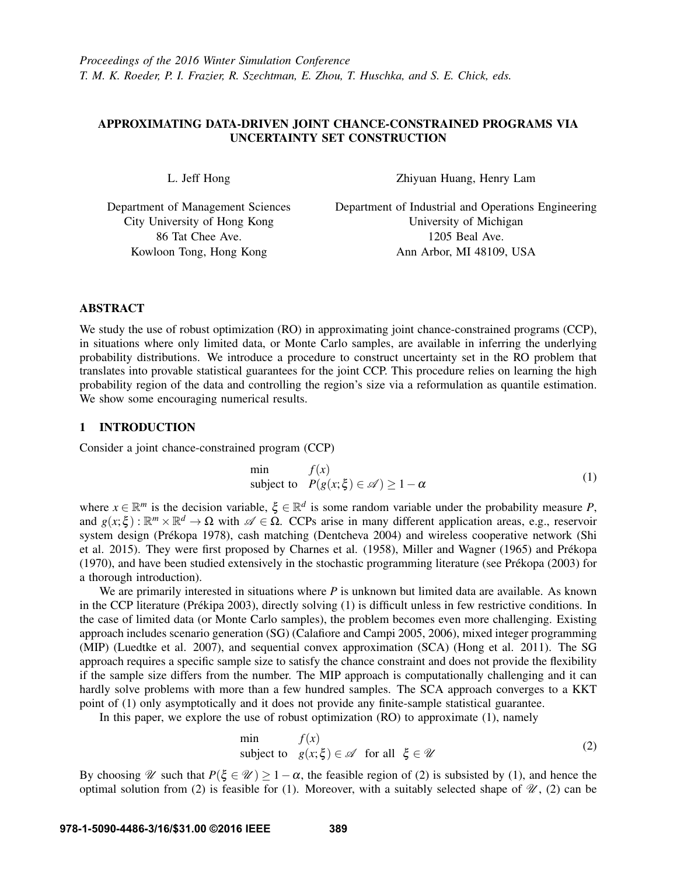# APPROXIMATING DATA-DRIVEN JOINT CHANCE-CONSTRAINED PROGRAMS VIA UNCERTAINTY SET CONSTRUCTION

L. Jeff Hong

Department of Management Sciences City University of Hong Kong 86 Tat Chee Ave. Kowloon Tong, Hong Kong

Zhiyuan Huang, Henry Lam

Department of Industrial and Operations Engineering University of Michigan 1205 Beal Ave. Ann Arbor, MI 48109, USA

## ABSTRACT

We study the use of robust optimization (RO) in approximating joint chance-constrained programs (CCP), in situations where only limited data, or Monte Carlo samples, are available in inferring the underlying probability distributions. We introduce a procedure to construct uncertainty set in the RO problem that translates into provable statistical guarantees for the joint CCP. This procedure relies on learning the high probability region of the data and controlling the region's size via a reformulation as quantile estimation. We show some encouraging numerical results.

# 1 INTRODUCTION

Consider a joint chance-constrained program (CCP)

$$
\begin{array}{ll}\n\text{min} & f(x) \\
\text{subject to} & P(g(x; \xi) \in \mathcal{A}) \ge 1 - \alpha\n\end{array} \tag{1}
$$

where  $x \in \mathbb{R}^m$  is the decision variable,  $\xi \in \mathbb{R}^d$  is some random variable under the probability measure P, and  $g(x;\xi): \mathbb{R}^m \times \mathbb{R}^d \to \Omega$  with  $\mathscr{A} \in \Omega$ . CCPs arise in many different application areas, e.g., reservoir system design (Prékopa 1978), cash matching (Dentcheva 2004) and wireless cooperative network (Shi et al. 2015). They were first proposed by Charnes et al. (1958), Miller and Wagner (1965) and Prekopa ´ (1970), and have been studied extensively in the stochastic programming literature (see Prekopa (2003) for ´ a thorough introduction).

We are primarily interested in situations where *P* is unknown but limited data are available. As known in the CCP literature (Prékipa 2003), directly solving  $(1)$  is difficult unless in few restrictive conditions. In the case of limited data (or Monte Carlo samples), the problem becomes even more challenging. Existing approach includes scenario generation (SG) (Calafiore and Campi 2005, 2006), mixed integer programming (MIP) (Luedtke et al. 2007), and sequential convex approximation (SCA) (Hong et al. 2011). The SG approach requires a specific sample size to satisfy the chance constraint and does not provide the flexibility if the sample size differs from the number. The MIP approach is computationally challenging and it can hardly solve problems with more than a few hundred samples. The SCA approach converges to a KKT point of (1) only asymptotically and it does not provide any finite-sample statistical guarantee.

In this paper, we explore the use of robust optimization (RO) to approximate (1), namely

$$
\min_{\text{subject to}} f(x) \n\text{subject to } g(x; \xi) \in \mathcal{A} \text{ for all } \xi \in \mathcal{U}
$$
\n
$$
(2)
$$

By choosing W such that  $P(\xi \in \mathcal{U}) \ge 1-\alpha$ , the feasible region of (2) is subsisted by (1), and hence the optimal solution from (2) is feasible for (1). Moreover, with a suitably selected shape of  $\mathcal{U}$ , (2) can be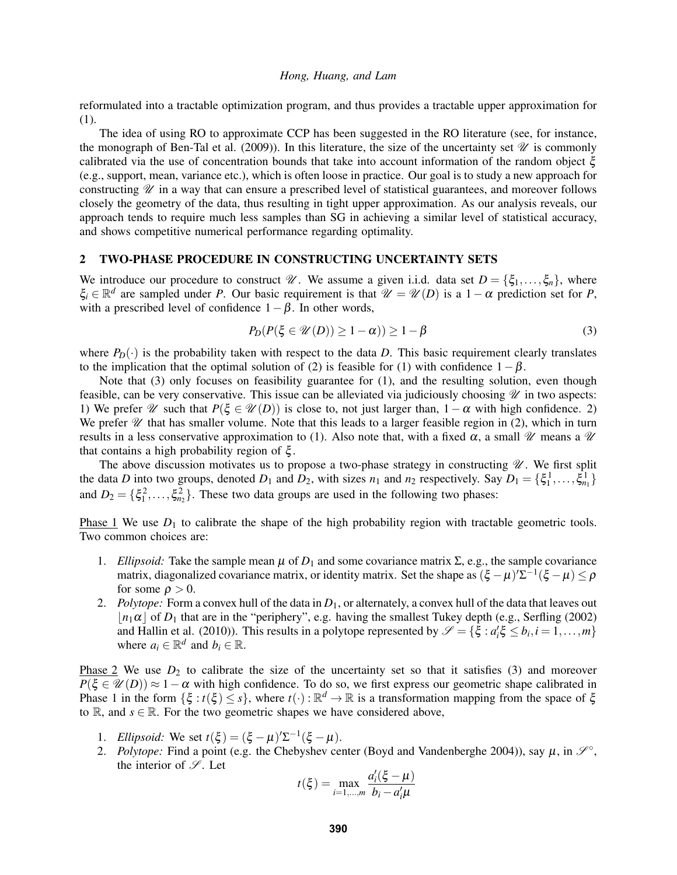reformulated into a tractable optimization program, and thus provides a tractable upper approximation for (1).

The idea of using RO to approximate CCP has been suggested in the RO literature (see, for instance, the monograph of Ben-Tal et al. (2009)). In this literature, the size of the uncertainty set  $\mathcal U$  is commonly calibrated via the use of concentration bounds that take into account information of the random object  $\xi$ (e.g., support, mean, variance etc.), which is often loose in practice. Our goal is to study a new approach for constructing  $\mathscr U$  in a way that can ensure a prescribed level of statistical guarantees, and moreover follows closely the geometry of the data, thus resulting in tight upper approximation. As our analysis reveals, our approach tends to require much less samples than SG in achieving a similar level of statistical accuracy, and shows competitive numerical performance regarding optimality.

### 2 TWO-PHASE PROCEDURE IN CONSTRUCTING UNCERTAINTY SETS

We introduce our procedure to construct  $\mathcal{U}$ . We assume a given i.i.d. data set  $D = \{\xi_1, \ldots, \xi_n\}$ , where  $\xi_i \in \mathbb{R}^d$  are sampled under *P*. Our basic requirement is that  $\mathcal{U} = \mathcal{U}(D)$  is a 1 -  $\alpha$  prediction set for *P*, with a prescribed level of confidence  $1-\beta$ . In other words,

$$
P_D(P(\xi \in \mathcal{U}(D)) \ge 1 - \alpha)) \ge 1 - \beta \tag{3}
$$

where  $P_D(\cdot)$  is the probability taken with respect to the data *D*. This basic requirement clearly translates to the implication that the optimal solution of (2) is feasible for (1) with confidence  $1-\beta$ .

Note that (3) only focuses on feasibility guarantee for (1), and the resulting solution, even though feasible, can be very conservative. This issue can be alleviated via judiciously choosing  $\mathcal U$  in two aspects: 1) We prefer W such that  $P(\xi \in \mathcal{U}(D))$  is close to, not just larger than,  $1-\alpha$  with high confidence. 2) We prefer  $\mathscr U$  that has smaller volume. Note that this leads to a larger feasible region in (2), which in turn results in a less conservative approximation to (1). Also note that, with a fixed  $\alpha$ , a small  $\mathcal U$  means a  $\mathcal U$ that contains a high probability region of  $ξ$ .

The above discussion motivates us to propose a two-phase strategy in constructing  $\mathscr U$ . We first split the data *D* into two groups, denoted  $D_1$  and  $D_2$ , with sizes  $n_1$  and  $n_2$  respectively. Say  $D_1 = \{\xi_1^1, \dots, \xi_{n_1}^1\}$ and  $D_2 = \{\xi_1^2, \ldots, \xi_{n_2}^2\}$ . These two data groups are used in the following two phases:

Phase 1 We use  $D_1$  to calibrate the shape of the high probability region with tractable geometric tools. Two common choices are:

- 1. *Ellipsoid:* Take the sample mean  $\mu$  of  $D_1$  and some covariance matrix  $\Sigma$ , e.g., the sample covariance matrix, diagonalized covariance matrix, or identity matrix. Set the shape as  $(\xi - \mu)'\Sigma^{-1}(\xi - \mu) \le \rho$ for some  $\rho > 0$ .
- 2. *Polytope:* Form a convex hull of the data in  $D_1$ , or alternately, a convex hull of the data that leaves out  $\lfloor n_1\alpha \rfloor$  of *D*<sub>1</sub> that are in the "periphery", e.g. having the smallest Tukey depth (e.g., Serfling (2002) and Hallin et al. (2010)). This results in a polytope represented by  $\mathscr{S} = {\xi : a'_i \xi \le b_i, i = 1, ..., m}$ where  $a_i \in \mathbb{R}^d$  and  $b_i \in \mathbb{R}$ .

Phase 2 We use  $D_2$  to calibrate the size of the uncertainty set so that it satisfies (3) and moreover  $P(\xi \in \mathcal{U}(D)) \approx 1-\alpha$  with high confidence. To do so, we first express our geometric shape calibrated in Phase 1 in the form  $\{\xi : t(\xi) \leq s\}$ , where  $t(\cdot) : \mathbb{R}^d \to \mathbb{R}$  is a transformation mapping from the space of  $\xi$ to  $\mathbb{R}$ , and  $s \in \mathbb{R}$ . For the two geometric shapes we have considered above,

- 1. *Ellipsoid:* We set  $t(\xi) = (\xi \mu)'\Sigma^{-1}(\xi \mu)$ .
- 2. *Polytope:* Find a point (e.g. the Chebyshev center (Boyd and Vandenberghe 2004)), say  $\mu$ , in  $\mathcal{S}^{\circ}$ , the interior of  $\mathscr{S}$ . Let  $\overline{1}$

$$
t(\xi) = \max_{i=1,...,m} \frac{a'_i(\xi - \mu)}{b_i - a'_i \mu}
$$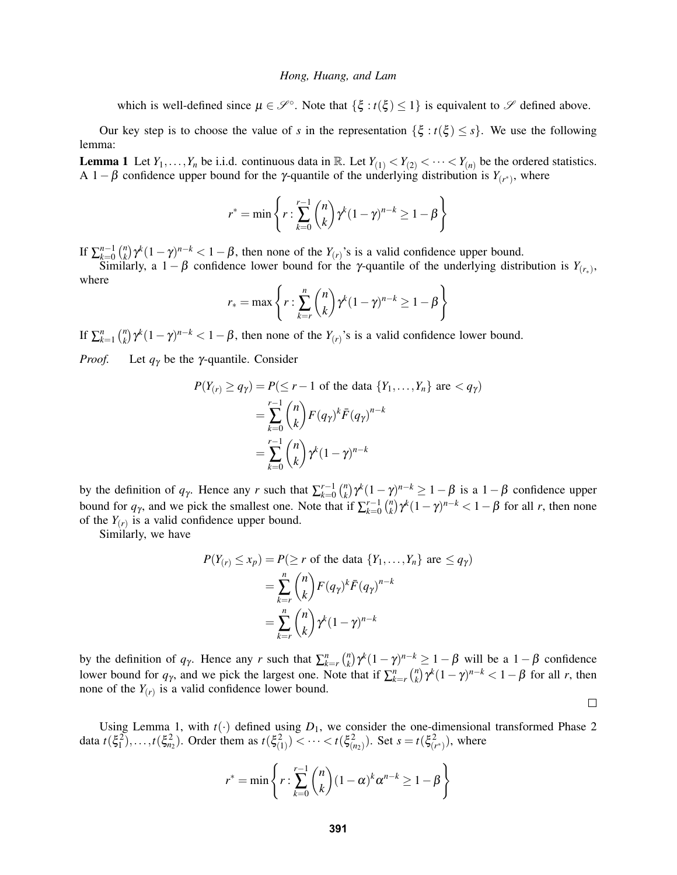which is well-defined since  $\mu \in \mathcal{S}^{\circ}$ . Note that  $\{\xi : t(\xi) \leq 1\}$  is equivalent to  $\mathcal{S}$  defined above.

Our key step is to choose the value of *s* in the representation  $\{\xi : t(\xi) \leq s\}$ . We use the following lemma:

**Lemma 1** Let  $Y_1, \ldots, Y_n$  be i.i.d. continuous data in R. Let  $Y_{(1)} < Y_{(2)} < \cdots < Y_{(n)}$  be the ordered statistics. A 1 -  $\beta$  confidence upper bound for the *γ*-quantile of the underlying distribution is  $Y_{(r^*)}$ , where

$$
r^* = \min\left\{r : \sum_{k=0}^{r-1} \binom{n}{k} \gamma^k (1-\gamma)^{n-k} \ge 1-\beta\right\}
$$

If  $\sum_{k=0}^{n-1} \binom{n}{k}$  $\int_{k}^{n} \gamma^{k} (1 - \gamma)^{n-k} < 1 - \beta$ , then none of the *Y*<sub>(*r*)</sub>'s is a valid confidence upper bound.

Similarly, a 1 –  $\beta$  confidence lower bound for the *γ*-quantile of the underlying distribution is  $Y_{(r_*)}$ , where

$$
r_* = \max\left\{r : \sum_{k=r}^n \binom{n}{k} \gamma^k (1-\gamma)^{n-k} \ge 1-\beta\right\}
$$

If  $\sum_{k=1}^{n} \binom{n}{k}$  $\chi_k^n$ )  $\gamma^k (1 - \gamma)^{n-k} < 1 - \beta$ , then none of the *Y*<sub>(*r*)</sub>'s is a valid confidence lower bound.

*Proof.* Let *q*<sup>γ</sup> be the γ-quantile. Consider

$$
P(Y_{(r)} \ge q_\gamma) = P(\le r - 1 \text{ of the data } \{Y_1, \dots, Y_n\} \text{ are } < q_\gamma)
$$
  
= 
$$
\sum_{k=0}^{r-1} {n \choose k} F(q_\gamma)^k \bar{F}(q_\gamma)^{n-k}
$$
  
= 
$$
\sum_{k=0}^{r-1} {n \choose k} \gamma^k (1 - \gamma)^{n-k}
$$

by the definition of  $q_{\gamma}$ . Hence any *r* such that  $\sum_{k=0}^{r-1} \binom{n}{k}$  $\chi_k^n$ )  $\gamma^k (1 - \gamma)^{n-k} \geq 1 - \beta$  is a  $1 - \beta$  confidence upper bound for  $q_{\gamma}$ , and we pick the smallest one. Note that if  $\sum_{k=0}^{r-1} \binom{n}{k}$  $\int_{k}^{n} \gamma^{k} (1 - \gamma)^{n-k} < 1 - \beta$  for all *r*, then none of the  $Y(r)$  is a valid confidence upper bound.

Similarly, we have

$$
P(Y_{(r)} \le x_p) = P(\ge r \text{ of the data } \{Y_1, \dots, Y_n\} \text{ are } \le q_\gamma)
$$
  
= 
$$
\sum_{k=r}^n \binom{n}{k} F(q_\gamma)^k \overline{F}(q_\gamma)^{n-k}
$$
  
= 
$$
\sum_{k=r}^n \binom{n}{k} \gamma^k (1-\gamma)^{n-k}
$$

by the definition of  $q_{\gamma}$ . Hence any *r* such that  $\sum_{k=r}^{n} \binom{n}{k}$  $\left( \frac{n}{k} \right) \gamma^k (1 - \gamma)^{n-k} \geq 1 - \beta$  will be a  $1 - \beta$  confidence lower bound for  $q_{\gamma}$ , and we pick the largest one. Note that if  $\sum_{k=r}^{n} \binom{n}{k}$  $\int_{k}^{n} \gamma^{k} (1 - \gamma)^{n-k} < 1 - \beta$  for all *r*, then none of the  $Y(r)$  is a valid confidence lower bound.

 $\Box$ 

Using Lemma 1, with  $t(\cdot)$  defined using  $D_1$ , we consider the one-dimensional transformed Phase 2 data  $t(\xi_1^2),...,t(\xi_n^2)$ . Order them as  $t(\xi_{(1)}^2) < ... < t(\xi_{(n_2)}^2)$ . Set  $s = t(\xi_{(r^*)}^2)$ , where

$$
r^* = \min\left\{r : \sum_{k=0}^{r-1} {n \choose k} (1-\alpha)^k \alpha^{n-k} \ge 1-\beta\right\}
$$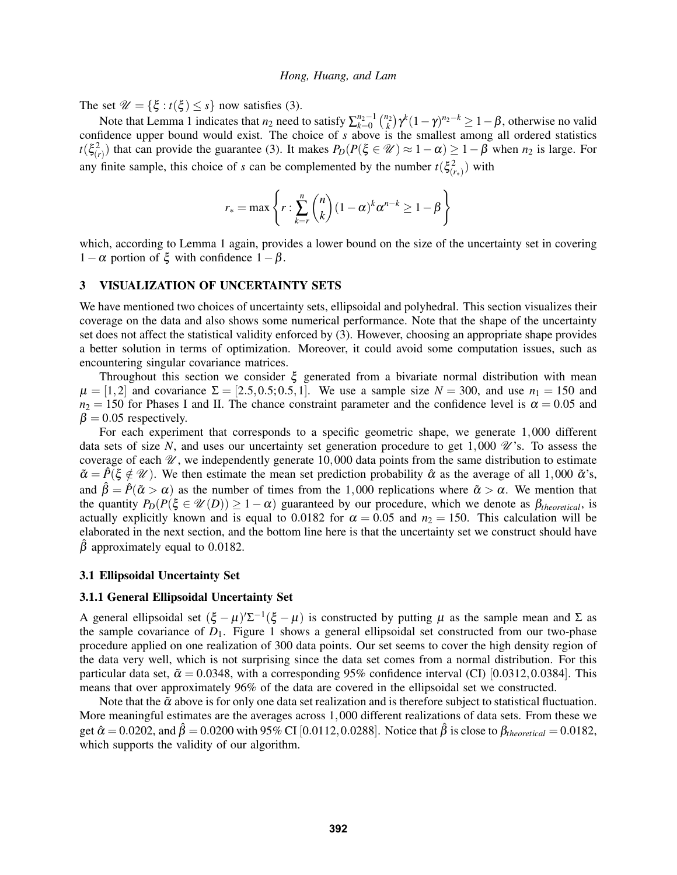The set  $\mathcal{U} = {\xi : t(\xi) \le s}$  now satisfies (3).

Note that Lemma 1 indicates that  $n_2$  need to satisfy  $\sum_{k=0}^{n_2-1} {n_2 \choose k} \gamma^k (1-\gamma)^{n_2-k} \geq 1-\beta$ , otherwise no valid confidence upper bound would exist. The choice of *s* above is the smallest among all ordered statistics  $t(\xi^2(r))$  that can provide the guarantee (3). It makes  $P_D(P(\xi \in \mathcal{U}) \approx 1-\alpha) \geq 1-\beta$  when  $n_2$  is large. For any finite sample, this choice of *s* can be complemented by the number  $t(\xi^2(r_*)$  with

$$
r_* = \max\left\{r : \sum_{k=r}^n \binom{n}{k} (1-\alpha)^k \alpha^{n-k} \ge 1-\beta\right\}
$$

which, according to Lemma 1 again, provides a lower bound on the size of the uncertainty set in covering 1−α portion of  $\xi$  with confidence 1−β.

## 3 VISUALIZATION OF UNCERTAINTY SETS

We have mentioned two choices of uncertainty sets, ellipsoidal and polyhedral. This section visualizes their coverage on the data and also shows some numerical performance. Note that the shape of the uncertainty set does not affect the statistical validity enforced by (3). However, choosing an appropriate shape provides a better solution in terms of optimization. Moreover, it could avoid some computation issues, such as encountering singular covariance matrices.

Throughout this section we consider  $\xi$  generated from a bivariate normal distribution with mean  $\mu = [1,2]$  and covariance  $\Sigma = [2.5, 0.5; 0.5, 1]$ . We use a sample size  $N = 300$ , and use  $n_1 = 150$  and  $n_2 = 150$  for Phases I and II. The chance constraint parameter and the confidence level is  $\alpha = 0.05$  and  $\beta = 0.05$  respectively.

For each experiment that corresponds to a specific geometric shape, we generate 1,000 different data sets of size N, and uses our uncertainty set generation procedure to get  $1,000 \mathcal{U}'$ 's. To assess the coverage of each  $\mathcal{U}$ , we independently generate 10,000 data points from the same distribution to estimate  $\tilde{\alpha} = \hat{P}(\xi \notin \mathcal{U})$ . We then estimate the mean set prediction probability  $\hat{\alpha}$  as the average of all 1,000  $\tilde{\alpha}$ 's, and  $\hat{\beta} = \hat{P}(\tilde{\alpha} > \alpha)$  as the number of times from the 1,000 replications where  $\tilde{\alpha} > \alpha$ . We mention that the quantity  $P_D(P(\xi \in \mathcal{U}(D)) \geq 1-\alpha)$  guaranteed by our procedure, which we denote as  $\beta_{theoretical}$ , is actually explicitly known and is equal to 0.0182 for  $\alpha = 0.05$  and  $n_2 = 150$ . This calculation will be elaborated in the next section, and the bottom line here is that the uncertainty set we construct should have  $\beta$  approximately equal to 0.0182.

### 3.1 Ellipsoidal Uncertainty Set

#### 3.1.1 General Ellipsoidal Uncertainty Set

A general ellipsoidal set  $(\xi - \mu) \Sigma^{-1} (\xi - \mu)$  is constructed by putting  $\mu$  as the sample mean and  $\Sigma$  as the sample covariance of  $D_1$ . Figure 1 shows a general ellipsoidal set constructed from our two-phase procedure applied on one realization of 300 data points. Our set seems to cover the high density region of the data very well, which is not surprising since the data set comes from a normal distribution. For this particular data set,  $\tilde{\alpha} = 0.0348$ , with a corresponding 95% confidence interval (CI) [0.0312,0.0384]. This means that over approximately 96% of the data are covered in the ellipsoidal set we constructed.

Note that the  $\tilde{\alpha}$  above is for only one data set realization and is therefore subject to statistical fluctuation. More meaningful estimates are the averages across 1,000 different realizations of data sets. From these we get  $\hat{\alpha} = 0.0202$ , and  $\hat{\beta} = 0.0200$  with 95% CI [0.0112, 0.0288]. Notice that  $\hat{\beta}$  is close to  $\beta_{theoretical} = 0.0182$ , which supports the validity of our algorithm.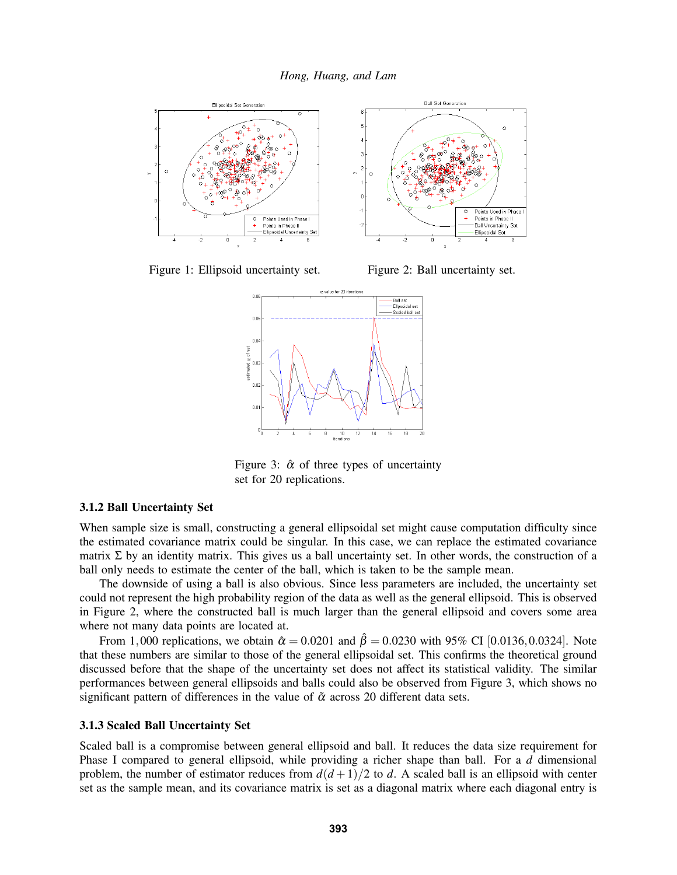

Figure 1: Ellipsoid uncertainty set. Figure 2: Ball uncertainty set.



Figure 3:  $\hat{\alpha}$  of three types of uncertainty set for 20 replications.

## 3.1.2 Ball Uncertainty Set

When sample size is small, constructing a general ellipsoidal set might cause computation difficulty since the estimated covariance matrix could be singular. In this case, we can replace the estimated covariance matrix  $\Sigma$  by an identity matrix. This gives us a ball uncertainty set. In other words, the construction of a ball only needs to estimate the center of the ball, which is taken to be the sample mean.

The downside of using a ball is also obvious. Since less parameters are included, the uncertainty set could not represent the high probability region of the data as well as the general ellipsoid. This is observed in Figure 2, where the constructed ball is much larger than the general ellipsoid and covers some area where not many data points are located at.

From 1,000 replications, we obtain  $\hat{\alpha} = 0.0201$  and  $\hat{\beta} = 0.0230$  with 95% CI [0.0136,0.0324]. Note that these numbers are similar to those of the general ellipsoidal set. This confirms the theoretical ground discussed before that the shape of the uncertainty set does not affect its statistical validity. The similar performances between general ellipsoids and balls could also be observed from Figure 3, which shows no significant pattern of differences in the value of  $\tilde{\alpha}$  across 20 different data sets.

### 3.1.3 Scaled Ball Uncertainty Set

Scaled ball is a compromise between general ellipsoid and ball. It reduces the data size requirement for Phase I compared to general ellipsoid, while providing a richer shape than ball. For a *d* dimensional problem, the number of estimator reduces from  $d(d+1)/2$  to *d*. A scaled ball is an ellipsoid with center set as the sample mean, and its covariance matrix is set as a diagonal matrix where each diagonal entry is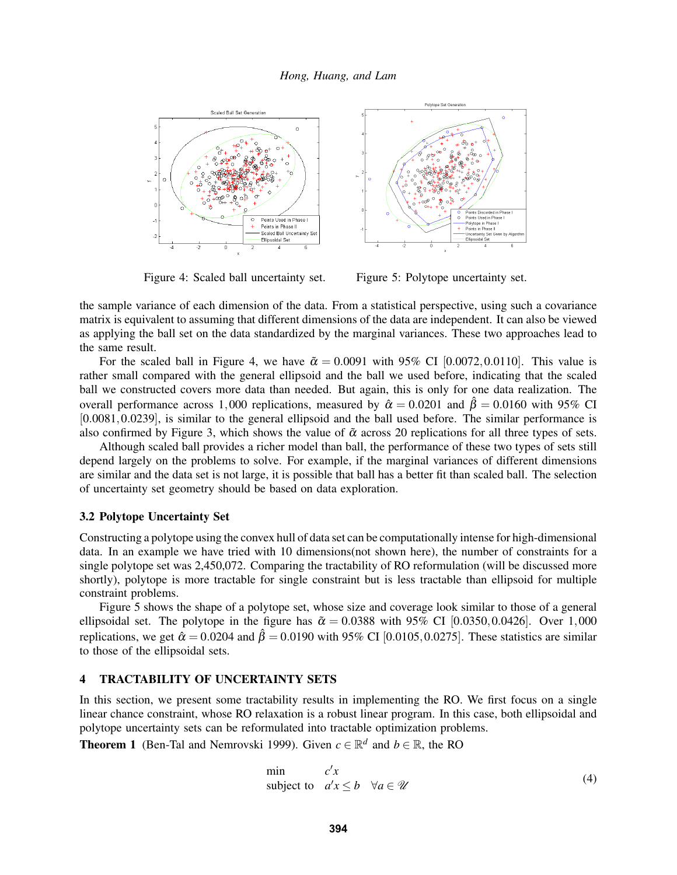

Figure 4: Scaled ball uncertainty set. Figure 5: Polytope uncertainty set.

the sample variance of each dimension of the data. From a statistical perspective, using such a covariance matrix is equivalent to assuming that different dimensions of the data are independent. It can also be viewed as applying the ball set on the data standardized by the marginal variances. These two approaches lead to the same result.

For the scaled ball in Figure 4, we have  $\tilde{\alpha} = 0.0091$  with 95% CI [0.0072,0.0110]. This value is rather small compared with the general ellipsoid and the ball we used before, indicating that the scaled ball we constructed covers more data than needed. But again, this is only for one data realization. The overall performance across 1,000 replications, measured by  $\hat{\alpha} = 0.0201$  and  $\hat{\beta} = 0.0160$  with 95% CI [0.0081,0.0239], is similar to the general ellipsoid and the ball used before. The similar performance is also confirmed by Figure 3, which shows the value of  $\tilde{\alpha}$  across 20 replications for all three types of sets.

Although scaled ball provides a richer model than ball, the performance of these two types of sets still depend largely on the problems to solve. For example, if the marginal variances of different dimensions are similar and the data set is not large, it is possible that ball has a better fit than scaled ball. The selection of uncertainty set geometry should be based on data exploration.

## 3.2 Polytope Uncertainty Set

Constructing a polytope using the convex hull of data set can be computationally intense for high-dimensional data. In an example we have tried with 10 dimensions(not shown here), the number of constraints for a single polytope set was 2,450,072. Comparing the tractability of RO reformulation (will be discussed more shortly), polytope is more tractable for single constraint but is less tractable than ellipsoid for multiple constraint problems.

Figure 5 shows the shape of a polytope set, whose size and coverage look similar to those of a general ellipsoidal set. The polytope in the figure has  $\tilde{\alpha} = 0.0388$  with 95% CI [0.0350,0.0426]. Over 1,000 replications, we get  $\hat{\alpha} = 0.0204$  and  $\hat{\beta} = 0.0190$  with 95% CI [0.0105,0.0275]. These statistics are similar to those of the ellipsoidal sets.

### 4 TRACTABILITY OF UNCERTAINTY SETS

In this section, we present some tractability results in implementing the RO. We first focus on a single linear chance constraint, whose RO relaxation is a robust linear program. In this case, both ellipsoidal and polytope uncertainty sets can be reformulated into tractable optimization problems.

**Theorem 1** (Ben-Tal and Nemrovski 1999). Given  $c \in \mathbb{R}^d$  and  $b \in \mathbb{R}$ , the RO

$$
\begin{array}{ll}\n\text{min} & c'x \\
\text{subject to} & a'x \le b \quad \forall a \in \mathcal{U}\n\end{array} \tag{4}
$$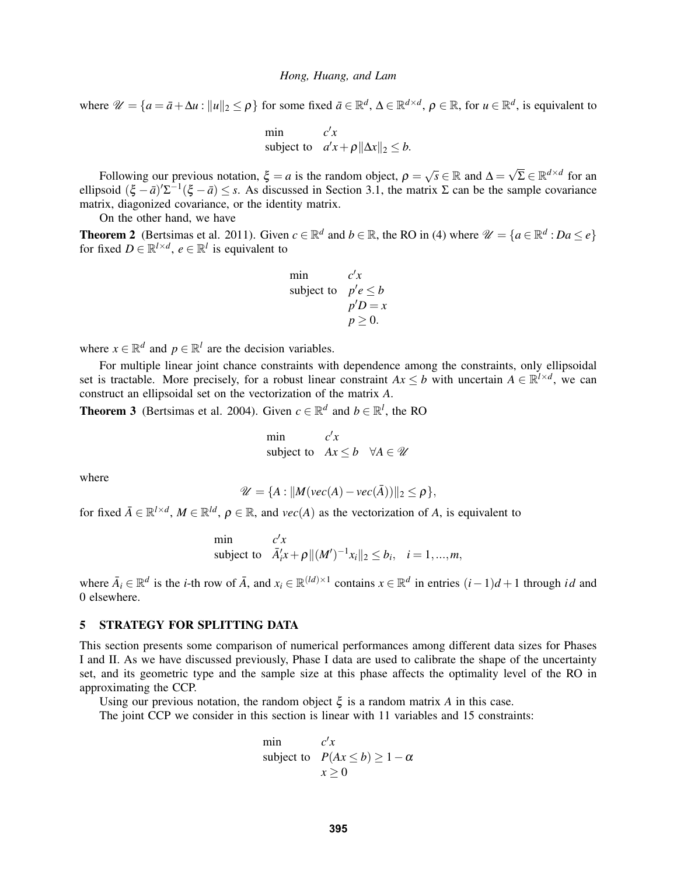where  $\mathcal{U} = \{a = \bar{a} + \Delta u : ||u||_2 \leq \rho\}$  for some fixed  $\bar{a} \in \mathbb{R}^d$ ,  $\Delta \in \mathbb{R}^{d \times d}$ ,  $\rho \in \mathbb{R}$ , for  $u \in \mathbb{R}^d$ , is equivalent to

min 
$$
c'x
$$
  
subject to  $a'x + \rho ||\Delta x||_2 \le b$ .

Following our previous notation,  $\xi = a$  is the random object,  $\rho =$  $\sqrt{s} \in \mathbb{R}$  and  $\Delta = \sqrt{\Sigma} \in \mathbb{R}^{d \times d}$  for an ellipsoid  $(\xi - \bar{a})' \Sigma^{-1} (\xi - \bar{a}) \leq s$ . As discussed in Section 3.1, the matrix  $\Sigma$  can be the sample covariance matrix, diagonized covariance, or the identity matrix.

On the other hand, we have

**Theorem 2** (Bertsimas et al. 2011). Given  $c \in \mathbb{R}^d$  and  $b \in \mathbb{R}$ , the RO in (4) where  $\mathcal{U} = \{a \in \mathbb{R}^d : Da \le e\}$ for fixed  $D \in \mathbb{R}^{l \times d}$ ,  $e \in \mathbb{R}^{l}$  is equivalent to

min  
subject to 
$$
p'e \leq b
$$
  
 $p'D = x$   
 $p \geq 0$ .

where  $x \in \mathbb{R}^d$  and  $p \in \mathbb{R}^l$  are the decision variables.

For multiple linear joint chance constraints with dependence among the constraints, only ellipsoidal set is tractable. More precisely, for a robust linear constraint  $Ax \leq b$  with uncertain  $A \in \mathbb{R}^{l \times d}$ , we can construct an ellipsoidal set on the vectorization of the matrix *A*.

**Theorem 3** (Bertsimas et al. 2004). Given  $c \in \mathbb{R}^d$  and  $b \in \mathbb{R}^l$ , the RO

$$
\begin{array}{ll}\text{min} & c'x\\ \text{subject to} & Ax \leq b \quad \forall A \in \mathcal{U} \end{array}
$$

where

$$
\mathscr{U} = \{A : ||M(\text{vec}(A) - \text{vec}(\bar{A}))||_2 \leq \rho\},\
$$

for fixed  $\bar{A} \in \mathbb{R}^{l \times d}$ ,  $M \in \mathbb{R}^{ld}$ ,  $\rho \in \mathbb{R}$ , and  $vec(A)$  as the vectorization of *A*, is equivalent to

min 
$$
c'x
$$
  
subject to  $\bar{A}'_i x + \rho ||(M')^{-1}x_i||_2 \le b_i$ ,  $i = 1,...,m$ ,

where  $\bar{A}_i \in \mathbb{R}^d$  is the *i*-th row of  $\bar{A}$ , and  $x_i \in \mathbb{R}^{(ld)\times 1}$  contains  $x \in \mathbb{R}^d$  in entries  $(i-1)d+1$  through *id* and 0 elsewhere.

## 5 STRATEGY FOR SPLITTING DATA

This section presents some comparison of numerical performances among different data sizes for Phases I and II. As we have discussed previously, Phase I data are used to calibrate the shape of the uncertainty set, and its geometric type and the sample size at this phase affects the optimality level of the RO in approximating the CCP.

Using our previous notation, the random object  $\xi$  is a random matrix A in this case.

The joint CCP we consider in this section is linear with 11 variables and 15 constraints:

min 
$$
c'x
$$
  
subject to  $P(Ax \le b) \ge 1 - \alpha$   
 $x \ge 0$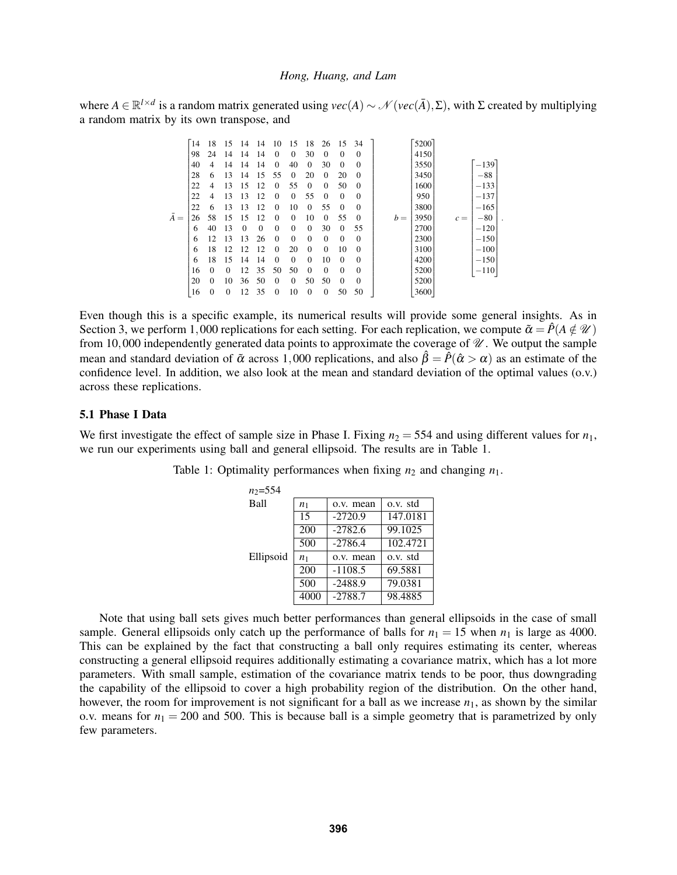where  $A \in \mathbb{R}^{l \times d}$  is a random matrix generated using  $vec(A) \sim \mathcal{N}(vec(\overline{A}), \Sigma)$ , with  $\Sigma$  created by multiplying a random matrix by its own transpose, and

|             | 14 | 18       | 15       | 14       | 14       | 10           | 15       | 18           | 26       | 15       | 34           |       | 5200 |       |        |  |
|-------------|----|----------|----------|----------|----------|--------------|----------|--------------|----------|----------|--------------|-------|------|-------|--------|--|
|             | 98 | 24       | 14       | 14       | 14       | 0            | $\Omega$ | 30           | 0        | 0        | $\mathbf{0}$ |       | 4150 |       |        |  |
|             | 40 | 4        | 14       | 14       | 14       | $\mathbf{0}$ | 40       | $\mathbf{0}$ | 30       | 0        | $\mathbf{0}$ |       | 3550 |       | $-139$ |  |
|             | 28 | 6        | 13       | 14       | 15       | 55           | $\Omega$ | 20           | 0        | 20       | $\mathbf{0}$ |       | 3450 |       | $-88$  |  |
|             | 22 | 4        | 13       | 15       | 12       | $\Omega$     | 55       | $\Omega$     | $\Omega$ | 50       | $\mathbf{0}$ |       | 1600 |       | $-133$ |  |
|             | 22 | 4        | 13       | 13       | 12       | 0            | $\Omega$ | 55           | $\theta$ | 0        | $\mathbf{0}$ |       | 950  |       | $-137$ |  |
|             | 22 | 6        | 13       | 13       | 12       | $\Omega$     | 10       | $\Omega$     | 55       | $\Omega$ | $\mathbf{0}$ |       | 3800 |       | $-165$ |  |
| $\bar{A} =$ | 26 | 58       | 15       | 15       | 12       | $\Omega$     | $\Omega$ | 10           | 0        | 55       | $\mathbf{0}$ | $b =$ | 3950 | $c =$ | $-80$  |  |
|             | 6  | 40       | 13       | $\Omega$ | $\Omega$ | $\mathbf{0}$ | $\Omega$ | $\Omega$     | 30       | $\Omega$ | 55           |       | 2700 |       | $-120$ |  |
|             | 6  | 12       | 13       | 13       | 26       | $\mathbf{0}$ | $\Omega$ | $\Omega$     | $\Omega$ | $\Omega$ | $\mathbf{0}$ |       | 2300 |       | $-150$ |  |
|             | 6  | 18       | 12       | 12       | 12       | $\Omega$     | 20       | $\Omega$     | $\Omega$ | 10       | $\mathbf{0}$ |       | 3100 |       | $-100$ |  |
|             | 6  | 18       | 15       | 14       | 14       | $\Omega$     | $\Omega$ | $\Omega$     | 10       | $\Omega$ | $\mathbf{0}$ |       | 4200 |       | $-150$ |  |
|             | 16 | $\Omega$ | $\Omega$ | 12       | 35       | 50           | 50       | $\Omega$     | $\Omega$ | $\Omega$ | $\mathbf{0}$ |       | 5200 |       | $-110$ |  |
|             | 20 | $\Omega$ | 10       | 36       | 50       | $\Omega$     | $\Omega$ | 50           | 50       | $\Omega$ | $\mathbf{0}$ |       | 5200 |       |        |  |
|             | 16 | 0        | 0        | 12       | 35       | $\mathbf{0}$ | 10       | 0            | 0        | 50       | 50           |       | 3600 |       |        |  |

Even though this is a specific example, its numerical results will provide some general insights. As in Section 3, we perform 1,000 replications for each setting. For each replication, we compute  $\tilde{\alpha} = \hat{P}(A \notin \mathcal{U})$ from 10,000 independently generated data points to approximate the coverage of  $\mathcal U$ . We output the sample mean and standard deviation of  $\tilde{\alpha}$  across 1,000 replications, and also  $\hat{\beta} = \hat{P}(\hat{\alpha} > \alpha)$  as an estimate of the confidence level. In addition, we also look at the mean and standard deviation of the optimal values (o.v.) across these replications.

## 5.1 Phase I Data

We first investigate the effect of sample size in Phase I. Fixing  $n_2 = 554$  and using different values for  $n_1$ , we run our experiments using ball and general ellipsoid. The results are in Table 1.

| $n_2 = 554$ |                |           |          |
|-------------|----------------|-----------|----------|
| Ball        | n <sub>1</sub> | o.v. mean | o.v. std |
|             | 15             | $-2720.9$ | 147.0181 |
|             | 200            | $-2782.6$ | 99.1025  |
|             | 500            | $-2786.4$ | 102.4721 |
| Ellipsoid   | n <sub>1</sub> | o.v. mean | o.v. std |
|             | 200            | $-1108.5$ | 69.5881  |
|             | 500            | $-2488.9$ | 79.0381  |
|             | 4000           | $-2788.7$ | 98.4885  |

Table 1: Optimality performances when fixing  $n_2$  and changing  $n_1$ .

Note that using ball sets gives much better performances than general ellipsoids in the case of small sample. General ellipsoids only catch up the performance of balls for  $n_1 = 15$  when  $n_1$  is large as 4000. This can be explained by the fact that constructing a ball only requires estimating its center, whereas constructing a general ellipsoid requires additionally estimating a covariance matrix, which has a lot more parameters. With small sample, estimation of the covariance matrix tends to be poor, thus downgrading the capability of the ellipsoid to cover a high probability region of the distribution. On the other hand, however, the room for improvement is not significant for a ball as we increase  $n_1$ , as shown by the similar o.v. means for  $n_1 = 200$  and 500. This is because ball is a simple geometry that is parametrized by only few parameters.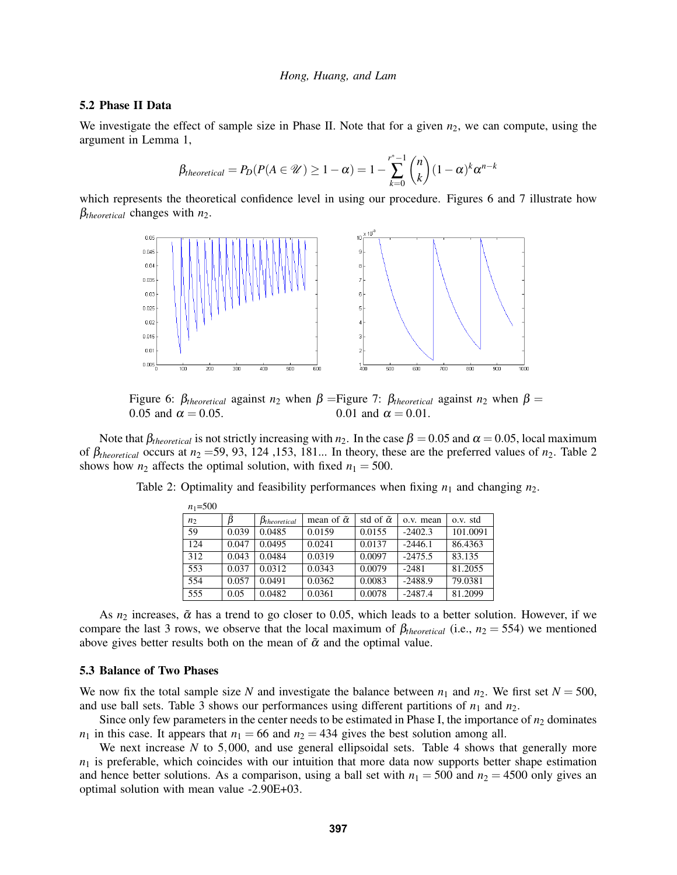## 5.2 Phase II Data

We investigate the effect of sample size in Phase II. Note that for a given  $n_2$ , we can compute, using the argument in Lemma 1,

$$
\beta_{theoretical} = P_D(P(A \in \mathcal{U}) \ge 1 - \alpha) = 1 - \sum_{k=0}^{r^*-1} {n \choose k} (1 - \alpha)^k \alpha^{n-k}
$$

which represents the theoretical confidence level in using our procedure. Figures 6 and 7 illustrate how β*theoretical* changes with *n*2.



Figure 6:  $\beta_{theoretical}$  against  $n_2$  when  $\beta$  = Figure 7:  $\beta_{theoretical}$  against  $n_2$  when  $\beta$  = 0.05 and  $\alpha = 0.05$ . 0.01 and  $\alpha = 0.01$ .

Note that  $\beta_{theoretical}$  is not strictly increasing with *n*<sub>2</sub>. In the case  $\beta = 0.05$  and  $\alpha = 0.05$ , local maximum of  $\beta_{theoretical}$  occurs at  $n_2$  =59, 93, 124, 153, 181... In theory, these are the preferred values of  $n_2$ . Table 2 shows how  $n_2$  affects the optimal solution, with fixed  $n_1 = 500$ .

| $n = 300$      |       |                       |                          |                         |           |          |
|----------------|-------|-----------------------|--------------------------|-------------------------|-----------|----------|
| n <sub>2</sub> | Â     | $\beta_{theoretical}$ | mean of $\tilde{\alpha}$ | std of $\tilde{\alpha}$ | o.v. mean | o.v. std |
| 59             | 0.039 | 0.0485                | 0.0159                   | 0.0155                  | $-2402.3$ | 101.0091 |
| 124            | 0.047 | 0.0495                | 0.0241                   | 0.0137                  | $-2446.1$ | 86.4363  |
| 312            | 0.043 | 0.0484                | 0.0319                   | 0.0097                  | $-2475.5$ | 83.135   |
| 553            | 0.037 | 0.0312                | 0.0343                   | 0.0079                  | $-2481$   | 81.2055  |
| 554            | 0.057 | 0.0491                | 0.0362                   | 0.0083                  | $-2488.9$ | 79.0381  |
| 555            | 0.05  | 0.0482                | 0.0361                   | 0.0078                  | $-2487.4$ | 81.2099  |

Table 2: Optimality and feasibility performances when fixing  $n_1$  and changing  $n_2$ .

As  $n_2$  increases,  $\tilde{\alpha}$  has a trend to go closer to 0.05, which leads to a better solution. However, if we compare the last 3 rows, we observe that the local maximum of  $\beta_{theoretical}$  (i.e.,  $n_2 = 554$ ) we mentioned above gives better results both on the mean of  $\tilde{\alpha}$  and the optimal value.

#### 5.3 Balance of Two Phases

*n*1=500

We now fix the total sample size *N* and investigate the balance between  $n_1$  and  $n_2$ . We first set  $N = 500$ , and use ball sets. Table 3 shows our performances using different partitions of  $n_1$  and  $n_2$ .

Since only few parameters in the center needs to be estimated in Phase I, the importance of  $n_2$  dominates  $n_1$  in this case. It appears that  $n_1 = 66$  and  $n_2 = 434$  gives the best solution among all.

We next increase *N* to 5,000, and use general ellipsoidal sets. Table 4 shows that generally more  $n_1$  is preferable, which coincides with our intuition that more data now supports better shape estimation and hence better solutions. As a comparison, using a ball set with  $n_1 = 500$  and  $n_2 = 4500$  only gives an optimal solution with mean value -2.90E+03.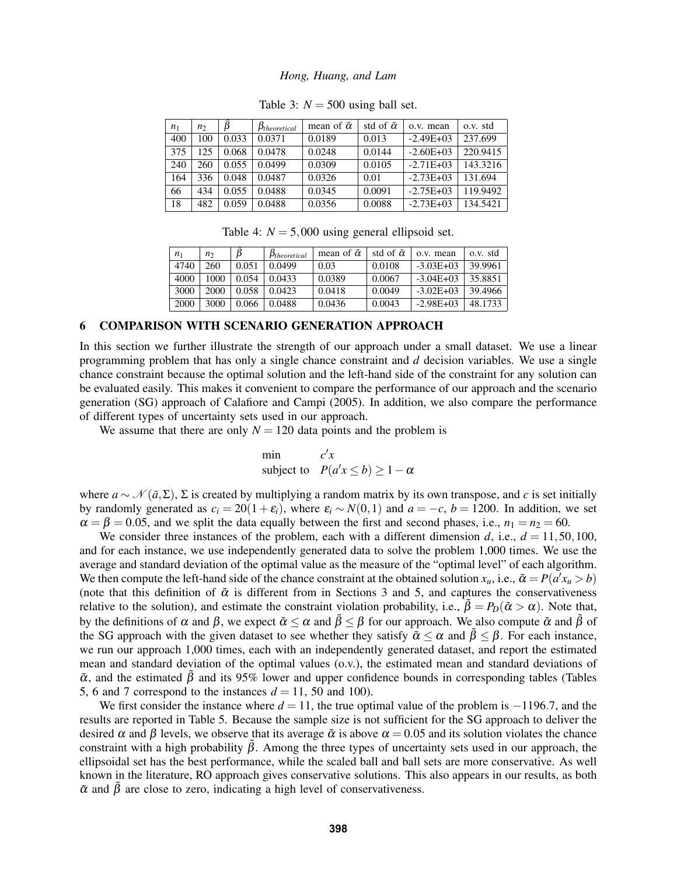| n <sub>1</sub> | n,  |       | $\beta_{theoretical}$ | mean of $\tilde{\alpha}$ | std of $\tilde{\alpha}$ | o.v. mean      | o.v. std |
|----------------|-----|-------|-----------------------|--------------------------|-------------------------|----------------|----------|
| 400            | 100 | 0.033 | 0.0371                | 0.0189                   | 0.013                   | $-2.49E + 0.3$ | 237.699  |
| 375            | 125 | 0.068 | 0.0478                | 0.0248                   | 0.0144                  | $-2.60E + 0.3$ | 220.9415 |
| 240            | 260 | 0.055 | 0.0499                | 0.0309                   | 0.0105                  | $-2.71E+0.3$   | 143.3216 |
| 164            | 336 | 0.048 | 0.0487                | 0.0326                   | 0.01                    | $-2.73E+03$    | 131.694  |
| 66             | 434 | 0.055 | 0.0488                | 0.0345                   | 0.0091                  | $-2.75E+03$    | 119.9492 |
| 18             | 482 | 0.059 | 0.0488                | 0.0356                   | 0.0088                  | $-2.73E+03$    | 134.5421 |

Table 3:  $N = 500$  using ball set.

Table 4:  $N = 5,000$  using general ellipsoid set.

| n <sub>1</sub> | n <sub>2</sub> |       | $\beta_{theoretical}$ | mean of $\tilde{\alpha}$ | std of $\tilde{\alpha}$ | o.v. mean     | o.v. std |
|----------------|----------------|-------|-----------------------|--------------------------|-------------------------|---------------|----------|
| 4740           | 260            | 0.051 | 0.0499                | 0.03                     | 0.0108                  | $-3.03E + 03$ | 39.9961  |
| 4000           | 1000           | 0.054 | 0.0433                | 0.0389                   | 0.0067                  | $-3.04E + 03$ | 35.8851  |
| 3000           | 2000           | 0.058 | 0.0423                | 0.0418                   | 0.0049                  | $-3.02E + 03$ | 39.4966  |
| 2000           | 3000           | 0.066 | 0.0488                | 0.0436                   | 0.0043                  | $-2.98E+03$   | 48.1733  |

## 6 COMPARISON WITH SCENARIO GENERATION APPROACH

In this section we further illustrate the strength of our approach under a small dataset. We use a linear programming problem that has only a single chance constraint and *d* decision variables. We use a single chance constraint because the optimal solution and the left-hand side of the constraint for any solution can be evaluated easily. This makes it convenient to compare the performance of our approach and the scenario generation (SG) approach of Calafiore and Campi (2005). In addition, we also compare the performance of different types of uncertainty sets used in our approach.

We assume that there are only  $N = 120$  data points and the problem is

$$
\begin{array}{ll}\text{min} & c'x\\ \text{subject to} & P(a'x \le b) \ge 1 - \alpha \end{array}
$$

where  $a \sim \mathcal{N}(\bar{a}, \Sigma)$ ,  $\Sigma$  is created by multiplying a random matrix by its own transpose, and *c* is set initially by randomly generated as  $c_i = 20(1+\varepsilon_i)$ , where  $\varepsilon_i \sim N(0,1)$  and  $a = -c$ ,  $b = 1200$ . In addition, we set  $\alpha = \beta = 0.05$ , and we split the data equally between the first and second phases, i.e.,  $n_1 = n_2 = 60$ .

We consider three instances of the problem, each with a different dimension *d*, i.e.,  $d = 11,50,100$ , and for each instance, we use independently generated data to solve the problem 1,000 times. We use the average and standard deviation of the optimal value as the measure of the "optimal level" of each algorithm. We then compute the left-hand side of the chance constraint at the obtained solution  $x_u$ , i.e.,  $\tilde{\alpha} = P(a'x_u > b)$ (note that this definition of  $\tilde{\alpha}$  is different from in Sections 3 and 5, and captures the conservativeness relative to the solution), and estimate the constraint violation probability, i.e.,  $\tilde{\beta} = P_D(\tilde{\alpha} > \alpha)$ . Note that, by the definitions of  $\alpha$  and  $\beta$ , we expect  $\tilde{\alpha} \leq \alpha$  and  $\tilde{\beta} \leq \beta$  for our approach. We also compute  $\tilde{\alpha}$  and  $\tilde{\beta}$  of the SG approach with the given dataset to see whether they satisfy  $\tilde{\alpha} < \alpha$  and  $\tilde{\beta} < \beta$ . For each instance, we run our approach 1,000 times, each with an independently generated dataset, and report the estimated mean and standard deviation of the optimal values (o.v.), the estimated mean and standard deviations of  $\tilde{\alpha}$ , and the estimated  $\beta$  and its 95% lower and upper confidence bounds in corresponding tables (Tables 5, 6 and 7 correspond to the instances  $d = 11$ , 50 and 100).

We first consider the instance where  $d = 11$ , the true optimal value of the problem is  $-1196.7$ , and the results are reported in Table 5. Because the sample size is not sufficient for the SG approach to deliver the desired  $\alpha$  and  $\beta$  levels, we observe that its average  $\tilde{\alpha}$  is above  $\alpha = 0.05$  and its solution violates the chance constraint with a high probability  $\tilde{\beta}$ . Among the three types of uncertainty sets used in our approach, the ellipsoidal set has the best performance, while the scaled ball and ball sets are more conservative. As well known in the literature, RO approach gives conservative solutions. This also appears in our results, as both  $\tilde{\alpha}$  and  $\tilde{\beta}$  are close to zero, indicating a high level of conservativeness.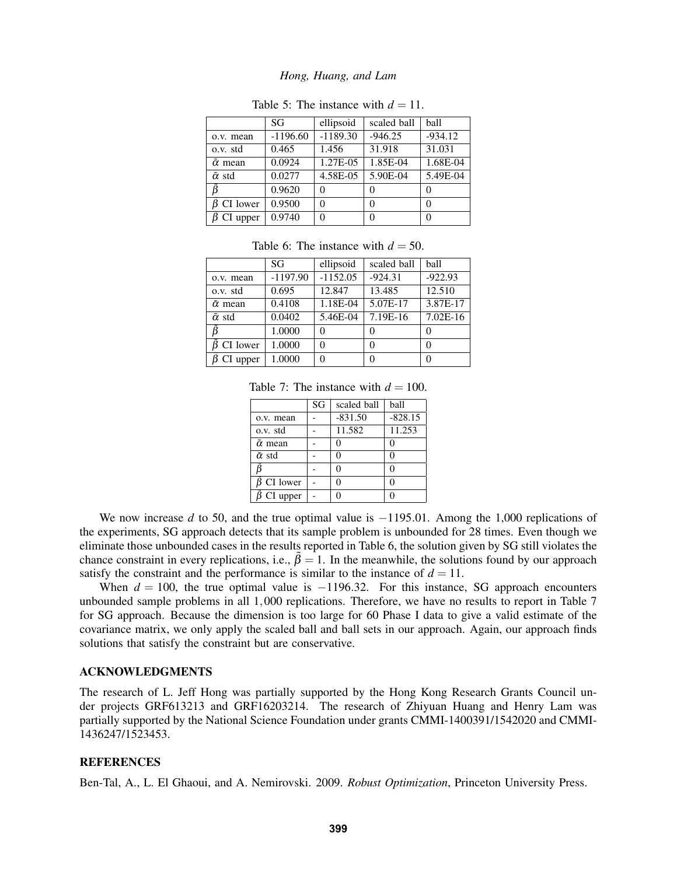|                          | SG         | ellipsoid  | scaled ball | <b>ball</b> |
|--------------------------|------------|------------|-------------|-------------|
| o.v. mean                | $-1196.60$ | $-1189.30$ | $-946.25$   | $-934.12$   |
| o.v. std                 | 0.465      | 1.456      | 31.918      | 31.031      |
| $\tilde{\alpha}$ mean    | 0.0924     | 1.27E-05   | 1.85E-04    | 1.68E-04    |
| $\tilde{\alpha}$ std     | 0.0277     | 4.58E-05   | 5.90E-04    | 5.49E-04    |
|                          | 0.9620     | $\Omega$   |             | 0           |
| $\tilde{\beta}$ CI lower | 0.9500     | 0          |             | $\Omega$    |
| CI upper                 | 0.9740     |            |             | $\Omega$    |

Table 5: The instance with  $d = 11$ .

|                       | SG         | ellipsoid  | scaled ball | <b>ball</b> |
|-----------------------|------------|------------|-------------|-------------|
| o.v. mean             | $-1197.90$ | $-1152.05$ | $-924.31$   | $-922.93$   |
| o.v. std              | 0.695      | 12.847     | 13.485      | 12.510      |
| $\tilde{\alpha}$ mean | 0.4108     | 1.18E-04   | 5.07E-17    | 3.87E-17    |
| $\tilde{\alpha}$ std  | 0.0402     | 5.46E-04   | 7.19E-16    | $7.02E-16$  |
| ß                     | 1.0000     | $\Omega$   |             | 0           |
| CI lower              | 1.0000     | $\Omega$   | 0           | 0           |
| CI upper              | 1.0000     | $\Omega$   |             | 0           |
|                       |            |            |             |             |

Table 6: The instance with  $d = 50$ .

Table 7: The instance with  $d = 100$ .

|                       | SG | scaled ball | ball      |
|-----------------------|----|-------------|-----------|
| o.v. mean             |    | $-831.50$   | $-828.15$ |
| o.v. std              |    | 11.582      | 11.253    |
| $\tilde{\alpha}$ mean |    |             | 0         |
| $\tilde{\alpha}$ std  |    |             | 0         |
|                       |    |             | 0         |
| CI lower              |    |             | 0         |
| CI upper              |    |             |           |

We now increase *d* to 50, and the true optimal value is −1195.01. Among the 1,000 replications of the experiments, SG approach detects that its sample problem is unbounded for 28 times. Even though we eliminate those unbounded cases in the results reported in Table 6, the solution given by SG still violates the chance constraint in every replications, i.e.,  $\tilde{\beta} = 1$ . In the meanwhile, the solutions found by our approach satisfy the constraint and the performance is similar to the instance of  $d = 11$ .

When  $d = 100$ , the true optimal value is  $-1196.32$ . For this instance, SG approach encounters unbounded sample problems in all 1,000 replications. Therefore, we have no results to report in Table 7 for SG approach. Because the dimension is too large for 60 Phase I data to give a valid estimate of the covariance matrix, we only apply the scaled ball and ball sets in our approach. Again, our approach finds solutions that satisfy the constraint but are conservative.

## ACKNOWLEDGMENTS

The research of L. Jeff Hong was partially supported by the Hong Kong Research Grants Council under projects GRF613213 and GRF16203214. The research of Zhiyuan Huang and Henry Lam was partially supported by the National Science Foundation under grants CMMI-1400391/1542020 and CMMI-1436247/1523453.

### **REFERENCES**

Ben-Tal, A., L. El Ghaoui, and A. Nemirovski. 2009. *Robust Optimization*, Princeton University Press.